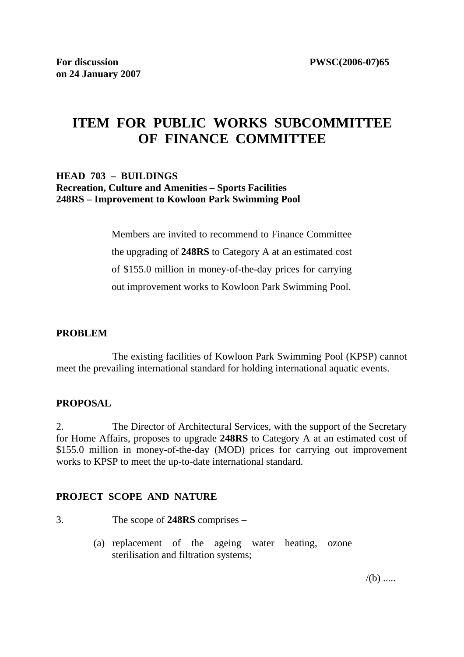# **ITEM FOR PUBLIC WORKS SUBCOMMITTEE OF FINANCE COMMITTEE**

### **HEAD 703 – BUILDINGS Recreation, Culture and Amenities – Sports Facilities 248RS – Improvement to Kowloon Park Swimming Pool**

Members are invited to recommend to Finance Committee the upgrading of **248RS** to Category A at an estimated cost of \$155.0 million in money-of-the-day prices for carrying out improvement works to Kowloon Park Swimming Pool.

### **PROBLEM**

 The existing facilities of Kowloon Park Swimming Pool (KPSP) cannot meet the prevailing international standard for holding international aquatic events.

### **PROPOSAL**

2. The Director of Architectural Services, with the support of the Secretary for Home Affairs, proposes to upgrade **248RS** to Category A at an estimated cost of \$155.0 million in money-of-the-day (MOD) prices for carrying out improvement works to KPSP to meet the up-to-date international standard.

### **PROJECT SCOPE AND NATURE**

- 3. The scope of **248RS** comprises
	- (a) replacement of the ageing water heating, ozone sterilisation and filtration systems;

 $/(b)$  .....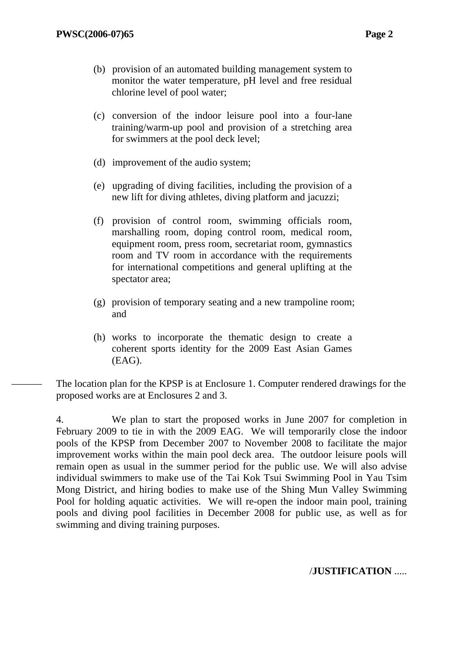- (b) provision of an automated building management system to monitor the water temperature, pH level and free residual chlorine level of pool water;
- (c) conversion of the indoor leisure pool into a four-lane training/warm-up pool and provision of a stretching area for swimmers at the pool deck level;
- (d) improvement of the audio system;
- (e) upgrading of diving facilities, including the provision of a new lift for diving athletes, diving platform and jacuzzi;
- (f) provision of control room, swimming officials room, marshalling room, doping control room, medical room, equipment room, press room, secretariat room, gymnastics room and TV room in accordance with the requirements for international competitions and general uplifting at the spectator area;
- (g) provision of temporary seating and a new trampoline room; and
- (h) works to incorporate the thematic design to create a coherent sports identity for the 2009 East Asian Games (EAG).

The location plan for the KPSP is at Enclosure 1. Computer rendered drawings for the proposed works are at Enclosures 2 and 3.

4. We plan to start the proposed works in June 2007 for completion in February 2009 to tie in with the 2009 EAG. We will temporarily close the indoor pools of the KPSP from December 2007 to November 2008 to facilitate the major improvement works within the main pool deck area. The outdoor leisure pools will remain open as usual in the summer period for the public use. We will also advise individual swimmers to make use of the Tai Kok Tsui Swimming Pool in Yau Tsim Mong District, and hiring bodies to make use of the Shing Mun Valley Swimming Pool for holding aquatic activities. We will re-open the indoor main pool, training pools and diving pool facilities in December 2008 for public use, as well as for swimming and diving training purposes.

### /**JUSTIFICATION** .....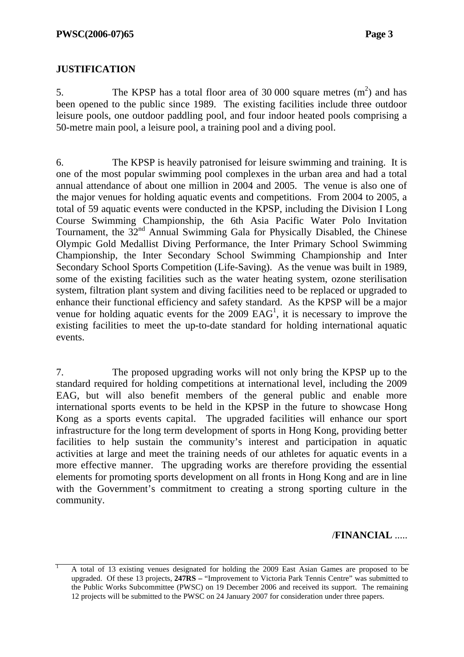## **JUSTIFICATION**

1

5. The KPSP has a total floor area of 30 000 square metres  $(m<sup>2</sup>)$  and has been opened to the public since 1989. The existing facilities include three outdoor leisure pools, one outdoor paddling pool, and four indoor heated pools comprising a 50-metre main pool, a leisure pool, a training pool and a diving pool.

6. The KPSP is heavily patronised for leisure swimming and training. It is one of the most popular swimming pool complexes in the urban area and had a total annual attendance of about one million in 2004 and 2005. The venue is also one of the major venues for holding aquatic events and competitions. From 2004 to 2005, a total of 59 aquatic events were conducted in the KPSP, including the Division I Long Course Swimming Championship, the 6th Asia Pacific Water Polo Invitation Tournament, the  $32<sup>nd</sup>$  Annual Swimming Gala for Physically Disabled, the Chinese Olympic Gold Medallist Diving Performance, the Inter Primary School Swimming Championship, the Inter Secondary School Swimming Championship and Inter Secondary School Sports Competition (Life-Saving). As the venue was built in 1989, some of the existing facilities such as the water heating system, ozone sterilisation system, filtration plant system and diving facilities need to be replaced or upgraded to enhance their functional efficiency and safety standard. As the KPSP will be a major venue for holding aquatic events for the  $2009$  EAG<sup>1</sup>, it is necessary to improve the existing facilities to meet the up-to-date standard for holding international aquatic events.

7. The proposed upgrading works will not only bring the KPSP up to the standard required for holding competitions at international level, including the 2009 EAG, but will also benefit members of the general public and enable more international sports events to be held in the KPSP in the future to showcase Hong Kong as a sports events capital. The upgraded facilities will enhance our sport infrastructure for the long term development of sports in Hong Kong, providing better facilities to help sustain the community's interest and participation in aquatic activities at large and meet the training needs of our athletes for aquatic events in a more effective manner. The upgrading works are therefore providing the essential elements for promoting sports development on all fronts in Hong Kong and are in line with the Government's commitment to creating a strong sporting culture in the community.

### /**FINANCIAL** .....

A total of 13 existing venues designated for holding the 2009 East Asian Games are proposed to be upgraded. Of these 13 projects, **247RS –** "Improvement to Victoria Park Tennis Centre" was submitted to the Public Works Subcommittee (PWSC) on 19 December 2006 and received its support. The remaining 12 projects will be submitted to the PWSC on 24 January 2007 for consideration under three papers.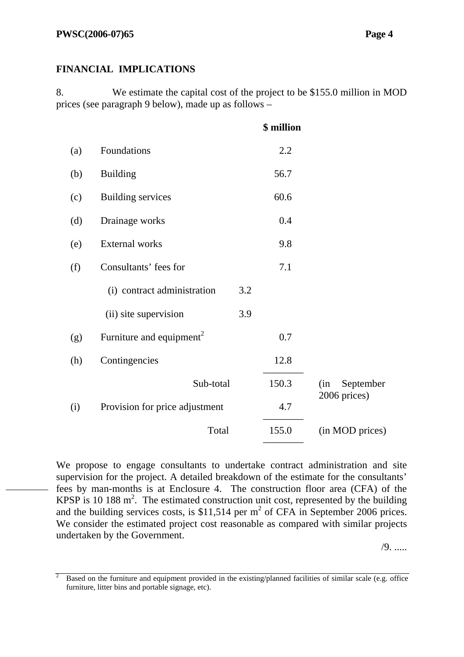8. We estimate the capital cost of the project to be \$155.0 million in MOD prices (see paragraph 9 below), made up as follows –

|     |                                      |     | \$ million |                                  |
|-----|--------------------------------------|-----|------------|----------------------------------|
| (a) | Foundations                          |     | 2.2        |                                  |
| (b) | <b>Building</b>                      |     | 56.7       |                                  |
| (c) | <b>Building services</b>             |     | 60.6       |                                  |
| (d) | Drainage works                       |     | 0.4        |                                  |
| (e) | External works                       |     | 9.8        |                                  |
| (f) | Consultants' fees for                |     | 7.1        |                                  |
|     | (i) contract administration          | 3.2 |            |                                  |
|     | (ii) site supervision                | 3.9 |            |                                  |
| (g) | Furniture and equipment <sup>2</sup> |     | 0.7        |                                  |
| (h) | Contingencies                        |     | 12.8       |                                  |
|     | Sub-total                            |     | 150.3      | (in<br>September<br>2006 prices) |
| (i) | Provision for price adjustment       |     | 4.7        |                                  |
|     | Total                                |     | 155.0      | (in MOD prices)                  |
|     |                                      |     |            |                                  |

We propose to engage consultants to undertake contract administration and site supervision for the project. A detailed breakdown of the estimate for the consultants' fees by man-months is at Enclosure 4. The construction floor area (CFA) of the KPSP is 10 188  $m^2$ . The estimated construction unit cost, represented by the building and the building services costs, is \$11,514 per  $m^2$  of CFA in September 2006 prices. We consider the estimated project cost reasonable as compared with similar projects undertaken by the Government.

/9. .....

<sup>2</sup> Based on the furniture and equipment provided in the existing/planned facilities of similar scale (e.g. office furniture, litter bins and portable signage, etc).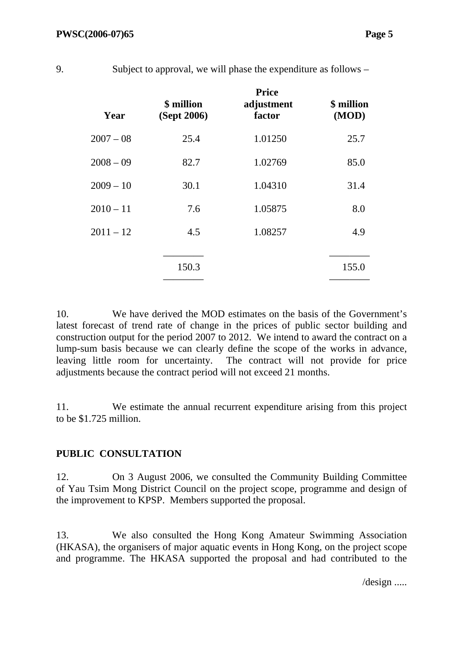| Year        | \$ million<br>(Sept 2006) | <b>Price</b><br>adjustment<br>factor | \$ million<br>(MOD) |
|-------------|---------------------------|--------------------------------------|---------------------|
| $2007 - 08$ | 25.4                      | 1.01250                              | 25.7                |
| $2008 - 09$ | 82.7                      | 1.02769                              | 85.0                |
| $2009 - 10$ | 30.1                      | 1.04310                              | 31.4                |
| $2010 - 11$ | 7.6                       | 1.05875                              | 8.0                 |
| $2011 - 12$ | 4.5                       | 1.08257                              | 4.9                 |
|             | 150.3                     |                                      | 155.0               |
|             |                           |                                      |                     |

10. We have derived the MOD estimates on the basis of the Government's latest forecast of trend rate of change in the prices of public sector building and construction output for the period 2007 to 2012. We intend to award the contract on a lump-sum basis because we can clearly define the scope of the works in advance, leaving little room for uncertainty. The contract will not provide for price adjustments because the contract period will not exceed 21 months.

11. We estimate the annual recurrent expenditure arising from this project to be \$1.725 million.

## **PUBLIC CONSULTATION**

12. On 3 August 2006, we consulted the Community Building Committee of Yau Tsim Mong District Council on the project scope, programme and design of the improvement to KPSP. Members supported the proposal.

13. We also consulted the Hong Kong Amateur Swimming Association (HKASA), the organisers of major aquatic events in Hong Kong, on the project scope and programme. The HKASA supported the proposal and had contributed to the

/design .....

9. Subject to approval, we will phase the expenditure as follows –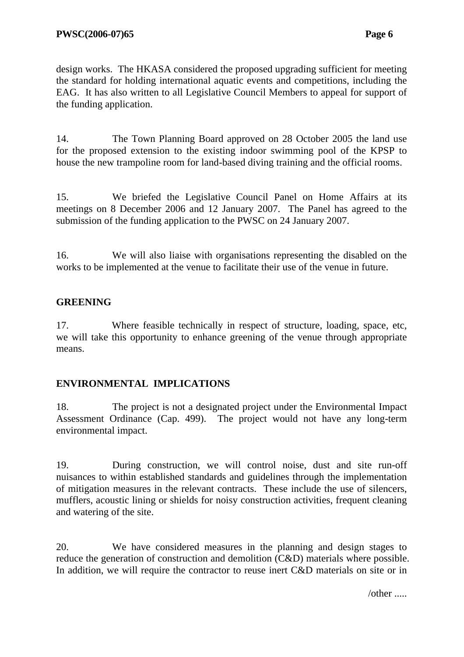design works. The HKASA considered the proposed upgrading sufficient for meeting the standard for holding international aquatic events and competitions, including the EAG. It has also written to all Legislative Council Members to appeal for support of the funding application.

14. The Town Planning Board approved on 28 October 2005 the land use for the proposed extension to the existing indoor swimming pool of the KPSP to house the new trampoline room for land-based diving training and the official rooms.

15. We briefed the Legislative Council Panel on Home Affairs at its meetings on 8 December 2006 and 12 January 2007. The Panel has agreed to the submission of the funding application to the PWSC on 24 January 2007.

16. We will also liaise with organisations representing the disabled on the works to be implemented at the venue to facilitate their use of the venue in future.

## **GREENING**

17. Where feasible technically in respect of structure, loading, space, etc, we will take this opportunity to enhance greening of the venue through appropriate means.

## **ENVIRONMENTAL IMPLICATIONS**

18. The project is not a designated project under the Environmental Impact Assessment Ordinance (Cap. 499). The project would not have any long-term environmental impact.

19. During construction, we will control noise, dust and site run-off nuisances to within established standards and guidelines through the implementation of mitigation measures in the relevant contracts. These include the use of silencers, mufflers, acoustic lining or shields for noisy construction activities, frequent cleaning and watering of the site.

20. We have considered measures in the planning and design stages to reduce the generation of construction and demolition (C&D) materials where possible. In addition, we will require the contractor to reuse inert C&D materials on site or in

/other .....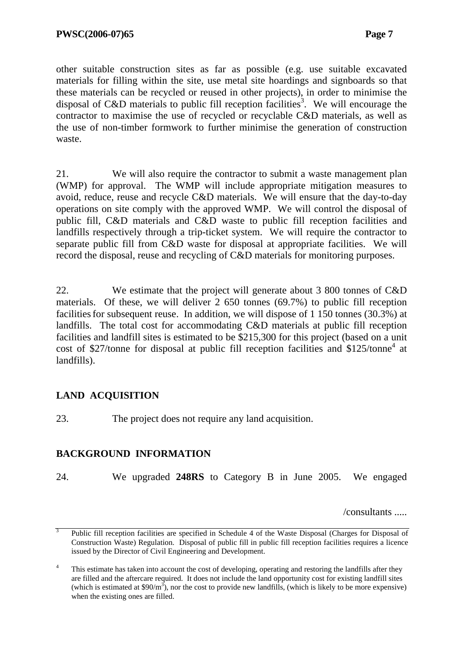other suitable construction sites as far as possible (e.g. use suitable excavated materials for filling within the site, use metal site hoardings and signboards so that these materials can be recycled or reused in other projects), in order to minimise the disposal of C&D materials to public fill reception facilities<sup>3</sup>. We will encourage the contractor to maximise the use of recycled or recyclable C&D materials, as well as the use of non-timber formwork to further minimise the generation of construction waste.

21. We will also require the contractor to submit a waste management plan (WMP) for approval. The WMP will include appropriate mitigation measures to avoid, reduce, reuse and recycle C&D materials. We will ensure that the day-to-day operations on site comply with the approved WMP. We will control the disposal of public fill, C&D materials and C&D waste to public fill reception facilities and landfills respectively through a trip-ticket system. We will require the contractor to separate public fill from C&D waste for disposal at appropriate facilities. We will record the disposal, reuse and recycling of C&D materials for monitoring purposes.

22. We estimate that the project will generate about 3 800 tonnes of C&D materials. Of these, we will deliver 2 650 tonnes (69.7%) to public fill reception facilities for subsequent reuse. In addition, we will dispose of 1 150 tonnes (30.3%) at landfills. The total cost for accommodating C&D materials at public fill reception facilities and landfill sites is estimated to be \$215,300 for this project (based on a unit cost of \$27/tonne for disposal at public fill reception facilities and \$125/tonne<sup>4</sup> at landfills).

## **LAND ACQUISITION**

23. The project does not require any land acquisition.

## **BACKGROUND INFORMATION**

24. We upgraded **248RS** to Category B in June 2005. We engaged

/consultants .....

<sup>3</sup> Public fill reception facilities are specified in Schedule 4 of the Waste Disposal (Charges for Disposal of Construction Waste) Regulation. Disposal of public fill in public fill reception facilities requires a licence issued by the Director of Civil Engineering and Development.

<sup>&</sup>lt;sup>4</sup> This estimate has taken into account the cost of developing, operating and restoring the landfills after they are filled and the aftercare required. It does not include the land opportunity cost for existing landfill sites (which is estimated at  $$90/m^3$ ), nor the cost to provide new landfills, (which is likely to be more expensive) when the existing ones are filled.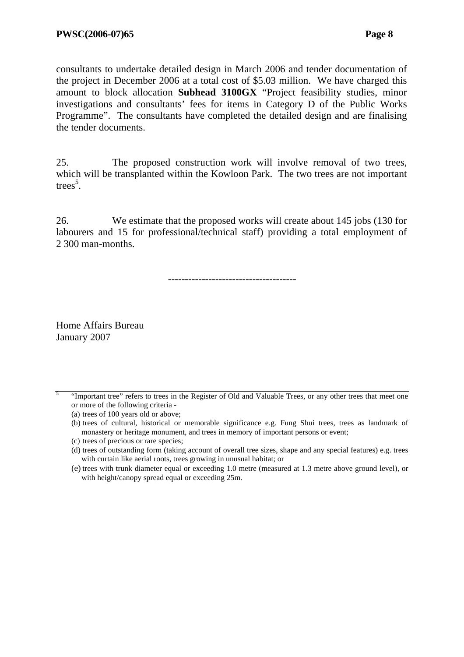consultants to undertake detailed design in March 2006 and tender documentation of the project in December 2006 at a total cost of \$5.03 million. We have charged this amount to block allocation **Subhead 3100GX** "Project feasibility studies, minor investigations and consultants' fees for items in Category D of the Public Works Programme". The consultants have completed the detailed design and are finalising the tender documents.

25. The proposed construction work will involve removal of two trees, which will be transplanted within the Kowloon Park. The two trees are not important trees<sup>5</sup>.

26. We estimate that the proposed works will create about 145 jobs (130 for labourers and 15 for professional/technical staff) providing a total employment of 2 300 man-months.

--------------------------------------

Home Affairs Bureau January 2007

5 "Important tree" refers to trees in the Register of Old and Valuable Trees, or any other trees that meet one or more of the following criteria -

<sup>(</sup>a) trees of 100 years old or above;

<sup>(</sup>b) trees of cultural, historical or memorable significance e.g. Fung Shui trees, trees as landmark of monastery or heritage monument, and trees in memory of important persons or event;

<sup>(</sup>c) trees of precious or rare species;

<sup>(</sup>d) trees of outstanding form (taking account of overall tree sizes, shape and any special features) e.g. trees with curtain like aerial roots, trees growing in unusual habitat; or

<sup>(</sup>e) trees with trunk diameter equal or exceeding 1.0 metre (measured at 1.3 metre above ground level), or with height/canopy spread equal or exceeding 25m.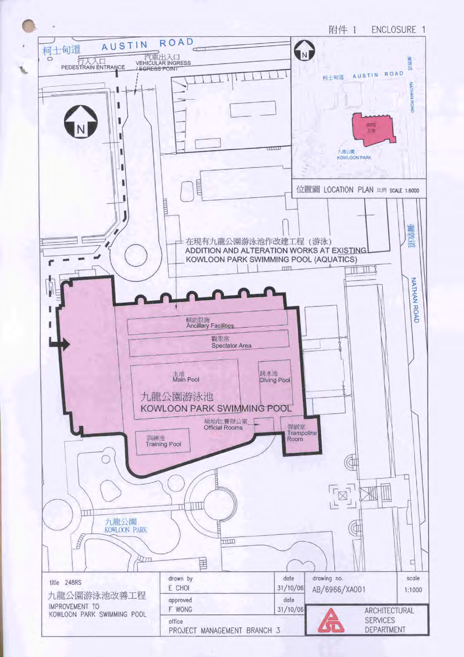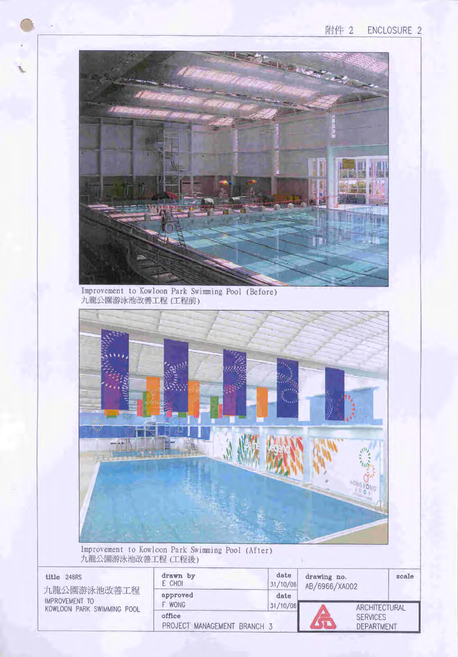

Improvement to Kowloon Park Swimming Pool (Before)<br>九龍公園游泳池改善工程 (工程前)



Improvement to Kowloon Park Swimming Pool (After)<br>九龍公園游泳池改善工程(工程後)

| title 248RS<br>九龍公園游泳池改善工程                   | drawn by<br>E CHOI                    | date<br>31/10/06 | drawing no.<br>AB/6966/XA002  | scale |
|----------------------------------------------|---------------------------------------|------------------|-------------------------------|-------|
| IMPROVEMENT TO<br>KOWLOON PARK SWIMMING POOL | approved<br><b>WONG</b>               | date<br>31/10/06 | ARCHITECTURAL                 |       |
|                                              | office<br>PROJECT MANAGEMENT BRANCH 3 |                  | <b>SERVICES</b><br>DEPARTMENT |       |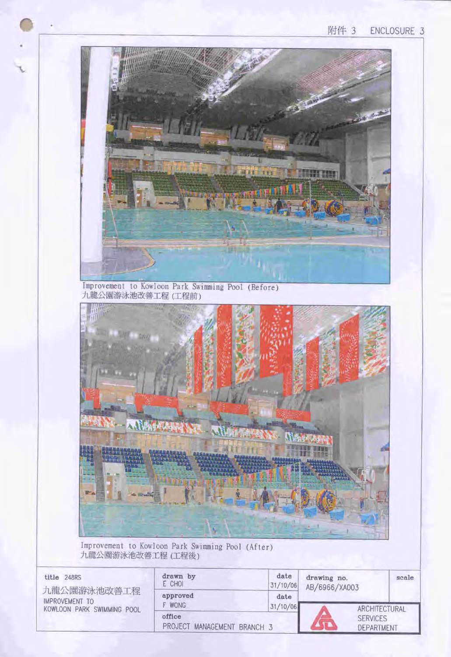## 附件 3 ENCLOSURE 3



Improvement to Kowloon Park Swimming Pool (After) 九龍公園游泳池改善工程(工程後)

| title 248RS                                                        | drawn by<br>E CHOI                    | date<br>31/10/06 | drawing no.<br>AB/6966/XA003  | scale         |
|--------------------------------------------------------------------|---------------------------------------|------------------|-------------------------------|---------------|
| 九龍公園游泳池改善工程<br><b>IMPROVEMENT TO</b><br>KOWLOON PARK SWIMMING POOL | approved<br>F WONG                    | date<br>31/10/06 |                               | ARCHITECTURAL |
|                                                                    | office<br>PROJECT MANAGEMENT BRANCH 3 |                  | <b>SERVICES</b><br>DEPARTMENT |               |